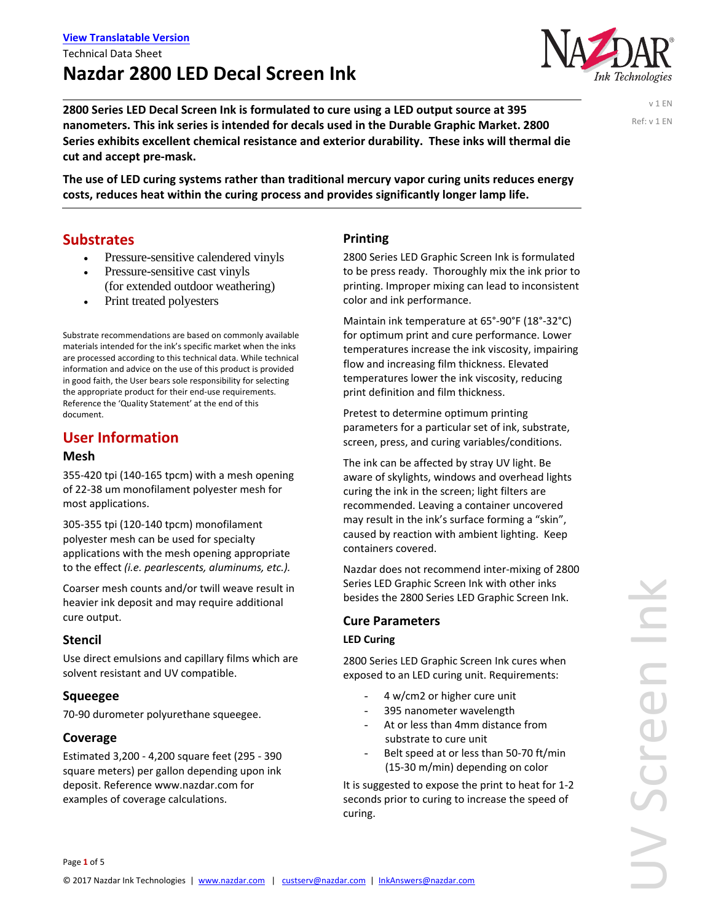**2800 Series LED Decal Screen Ink is formulated to cure using a LED output source at 395 nanometers. This ink series is intended for decals used in the Durable Graphic Market. 2800 Series exhibits excellent chemical resistance and exterior durability. These inks will thermal die cut and accept pre‐mask.** 

**The use of LED curing systems rather than traditional mercury vapor curing units reduces energy costs, reduces heat within the curing process and provides significantly longer lamp life.**

## **Substrates**

- Pressure-sensitive calendered vinyls
- Pressure-sensitive cast vinyls (for extended outdoor weathering)
- Print treated polyesters

Substrate recommendations are based on commonly available materials intended for the ink's specific market when the inks are processed according to this technical data. While technical information and advice on the use of this product is provided in good faith, the User bears sole responsibility for selecting the appropriate product for their end‐use requirements. Reference the 'Quality Statement' at the end of this document.

## **User Information**

#### **Mesh**

355‐420 tpi (140‐165 tpcm) with a mesh opening of 22‐38 um monofilament polyester mesh for most applications.

305‐355 tpi (120‐140 tpcm) monofilament polyester mesh can be used for specialty applications with the mesh opening appropriate to the effect *(i.e. pearlescents, aluminums, etc.).* 

Coarser mesh counts and/or twill weave result in heavier ink deposit and may require additional cure output.

## **Stencil**

Use direct emulsions and capillary films which are solvent resistant and UV compatible.

## **Squeegee**

70‐90 durometer polyurethane squeegee.

## **Coverage**

Estimated 3,200 ‐ 4,200 square feet (295 ‐ 390 square meters) per gallon depending upon ink deposit. Reference www.nazdar.com for examples of coverage calculations.

### **Printing**

2800 Series LED Graphic Screen Ink is formulated to be press ready. Thoroughly mix the ink prior to printing. Improper mixing can lead to inconsistent color and ink performance.

Maintain ink temperature at 65°‐90°F (18°‐32°C) for optimum print and cure performance. Lower temperatures increase the ink viscosity, impairing flow and increasing film thickness. Elevated temperatures lower the ink viscosity, reducing print definition and film thickness.

Pretest to determine optimum printing parameters for a particular set of ink, substrate, screen, press, and curing variables/conditions.

The ink can be affected by stray UV light. Be aware of skylights, windows and overhead lights curing the ink in the screen; light filters are recommended. Leaving a container uncovered may result in the ink's surface forming a "skin", caused by reaction with ambient lighting. Keep containers covered.

Nazdar does not recommend inter‐mixing of 2800 Series LED Graphic Screen Ink with other inks besides the 2800 Series LED Graphic Screen Ink.

#### **Cure Parameters**

#### **LED Curing**

2800 Series LED Graphic Screen Ink cures when exposed to an LED curing unit. Requirements:

- 4 w/cm2 or higher cure unit
- 395 nanometer wavelength
- At or less than 4mm distance from substrate to cure unit
- Belt speed at or less than 50-70 ft/min (15‐30 m/min) depending on color

It is suggested to expose the print to heat for 1‐2 seconds prior to curing to increase the speed of curing.

v 1 EN Ref: v 1 EN

nk Technologies

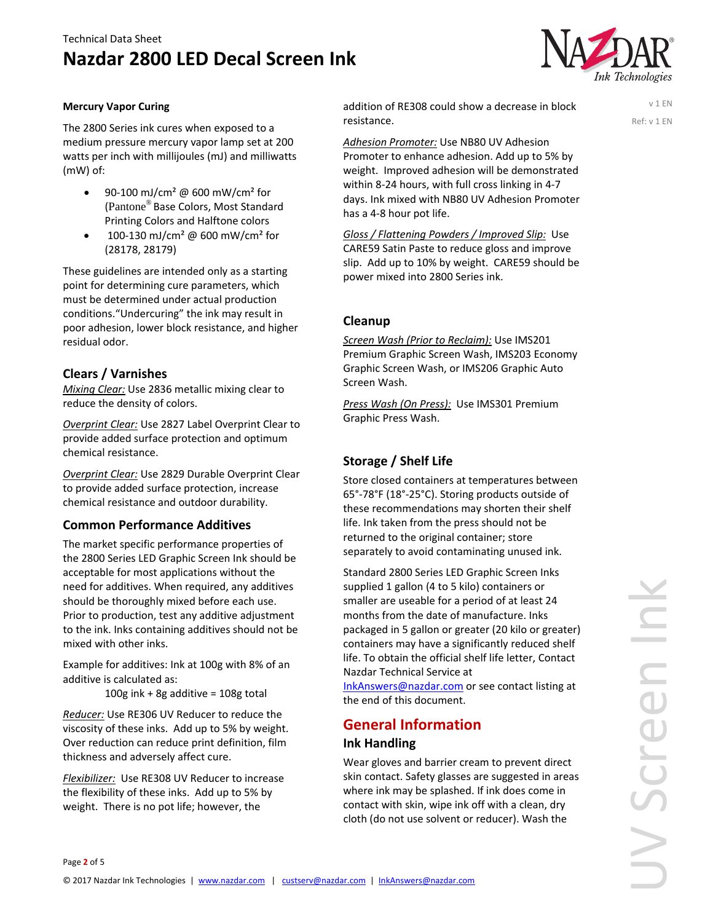## **Nazdar 2800 LED Decal Screen Ink**



v 1 EN Ref: v 1 EN

#### **Mercury Vapor Curing**

The 2800 Series ink cures when exposed to a medium pressure mercury vapor lamp set at 200 watts per inch with millijoules (mJ) and milliwatts (mW) of:

- 90‐100 mJ/cm² @ 600 mW/cm² for (Pantone® Base Colors, Most Standard Printing Colors and Halftone colors
- $100 130$  mJ/cm<sup>2</sup> @ 600 mW/cm<sup>2</sup> for (28178, 28179)

These guidelines are intended only as a starting point for determining cure parameters, which must be determined under actual production conditions."Undercuring" the ink may result in poor adhesion, lower block resistance, and higher residual odor.

## **Clears / Varnishes**

*Mixing Clear:* Use 2836 metallic mixing clear to reduce the density of colors.

*Overprint Clear:* Use 2827 Label Overprint Clear to provide added surface protection and optimum chemical resistance.

*Overprint Clear:* Use 2829 Durable Overprint Clear to provide added surface protection, increase chemical resistance and outdoor durability.

## **Common Performance Additives**

The market specific performance properties of the 2800 Series LED Graphic Screen Ink should be acceptable for most applications without the need for additives. When required, any additives should be thoroughly mixed before each use. Prior to production, test any additive adjustment to the ink. Inks containing additives should not be mixed with other inks.

Example for additives: Ink at 100g with 8% of an additive is calculated as:

100g ink + 8g additive =  $108g$  total

*Reducer:* Use RE306 UV Reducer to reduce the viscosity of these inks. Add up to 5% by weight. Over reduction can reduce print definition, film thickness and adversely affect cure.

*Flexibilizer:* Use RE308 UV Reducer to increase the flexibility of these inks. Add up to 5% by weight. There is no pot life; however, the

addition of RE308 could show a decrease in block resistance.

*Adhesion Promoter:* Use NB80 UV Adhesion Promoter to enhance adhesion. Add up to 5% by weight. Improved adhesion will be demonstrated within 8‐24 hours, with full cross linking in 4‐7 days. Ink mixed with NB80 UV Adhesion Promoter has a 4‐8 hour pot life.

*Gloss / Flattening Powders / Improved Slip:* Use CARE59 Satin Paste to reduce gloss and improve slip. Add up to 10% by weight. CARE59 should be power mixed into 2800 Series ink.

### **Cleanup**

*Screen Wash (Prior to Reclaim):* Use IMS201 Premium Graphic Screen Wash, IMS203 Economy Graphic Screen Wash, or IMS206 Graphic Auto Screen Wash.

*Press Wash (On Press):* Use IMS301 Premium Graphic Press Wash.

## **Storage / Shelf Life**

Store closed containers at temperatures between 65°‐78°F (18°‐25°C). Storing products outside of these recommendations may shorten their shelf life. Ink taken from the press should not be returned to the original container; store separately to avoid contaminating unused ink.

Standard 2800 Series LED Graphic Screen Inks supplied 1 gallon (4 to 5 kilo) containers or smaller are useable for a period of at least 24 months from the date of manufacture. Inks packaged in 5 gallon or greater (20 kilo or greater) containers may have a significantly reduced shelf life. To obtain the official shelf life letter, Contact Nazdar Technical Service at

InkAnswers@nazdar.com or see contact listing at the end of this document.

## **General Information Ink Handling**

Wear gloves and barrier cream to prevent direct skin contact. Safety glasses are suggested in areas where ink may be splashed. If ink does come in contact with skin, wipe ink off with a clean, dry cloth (do not use solvent or reducer). Wash the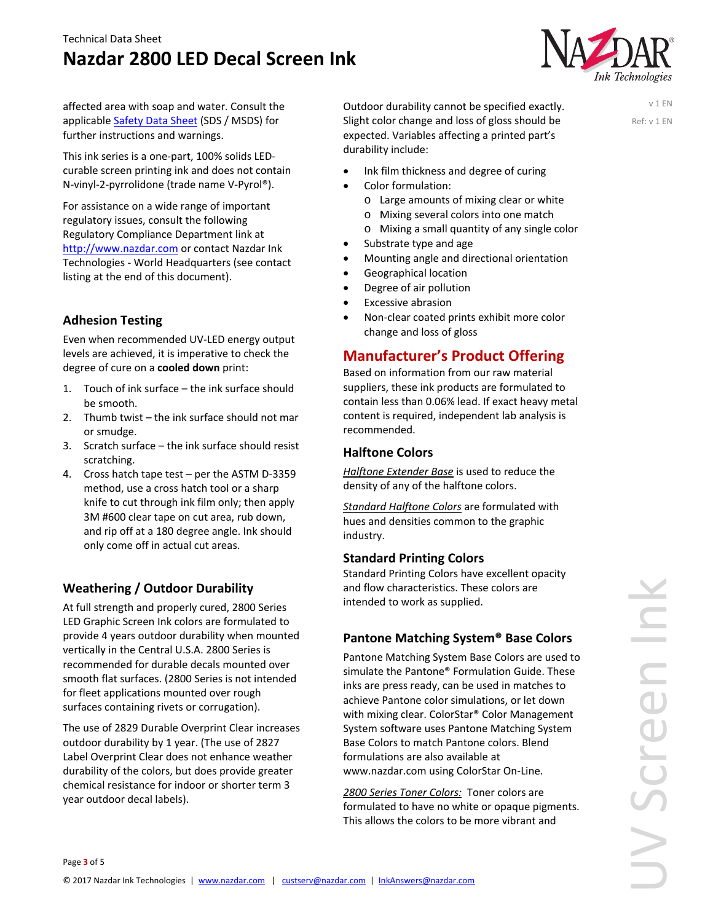# **Nazdar 2800 LED Decal Screen Ink**



v 1 EN Ref: v 1 EN

affected area with soap and water. Consult the applicable Safety Data Sheet (SDS / MSDS) for further instructions and warnings.

This ink series is a one‐part, 100% solids LED‐ curable screen printing ink and does not contain N‐vinyl‐2‐pyrrolidone (trade name V‐Pyrol®).

For assistance on a wide range of important regulatory issues, consult the following Regulatory Compliance Department link at http://www.nazdar.com or contact Nazdar Ink Technologies ‐ World Headquarters (see contact listing at the end of this document).

## **Adhesion Testing**

Even when recommended UV‐LED energy output levels are achieved, it is imperative to check the degree of cure on a **cooled down** print:

- 1. Touch of ink surface the ink surface should be smooth.
- 2. Thumb twist the ink surface should not mar or smudge.
- 3. Scratch surface the ink surface should resist scratching.
- 4. Cross hatch tape test per the ASTM D-3359 method, use a cross hatch tool or a sharp knife to cut through ink film only; then apply 3M #600 clear tape on cut area, rub down, and rip off at a 180 degree angle. Ink should only come off in actual cut areas.

## **Weathering / Outdoor Durability**

At full strength and properly cured, 2800 Series LED Graphic Screen Ink colors are formulated to provide 4 years outdoor durability when mounted vertically in the Central U.S.A. 2800 Series is recommended for durable decals mounted over smooth flat surfaces. (2800 Series is not intended for fleet applications mounted over rough surfaces containing rivets or corrugation).

The use of 2829 Durable Overprint Clear increases outdoor durability by 1 year. (The use of 2827 Label Overprint Clear does not enhance weather durability of the colors, but does provide greater chemical resistance for indoor or shorter term 3 year outdoor decal labels).

Outdoor durability cannot be specified exactly. Slight color change and loss of gloss should be expected. Variables affecting a printed part's durability include:

- Ink film thickness and degree of curing
- Color formulation:
	- o Large amounts of mixing clear or white
	- o Mixing several colors into one match
	- o Mixing a small quantity of any single color
- Substrate type and age
- Mounting angle and directional orientation
- Geographical location
- Degree of air pollution
- Excessive abrasion
- Non‐clear coated prints exhibit more color change and loss of gloss

## **Manufacturer's Product Offering**

Based on information from our raw material suppliers, these ink products are formulated to contain less than 0.06% lead. If exact heavy metal content is required, independent lab analysis is recommended.

## **Halftone Colors**

*Halftone Extender Base* is used to reduce the density of any of the halftone colors.

*Standard Halftone Colors* are formulated with hues and densities common to the graphic industry.

#### **Standard Printing Colors**

Standard Printing Colors have excellent opacity and flow characteristics. These colors are intended to work as supplied.

## **Pantone Matching System® Base Colors**

Pantone Matching System Base Colors are used to simulate the Pantone® Formulation Guide. These inks are press ready, can be used in matches to achieve Pantone color simulations, or let down with mixing clear. ColorStar® Color Management System software uses Pantone Matching System Base Colors to match Pantone colors. Blend formulations are also available at www.nazdar.com using ColorStar On‐Line.

*2800 Series Toner Colors:* Toner colors are formulated to have no white or opaque pigments. This allows the colors to be more vibrant and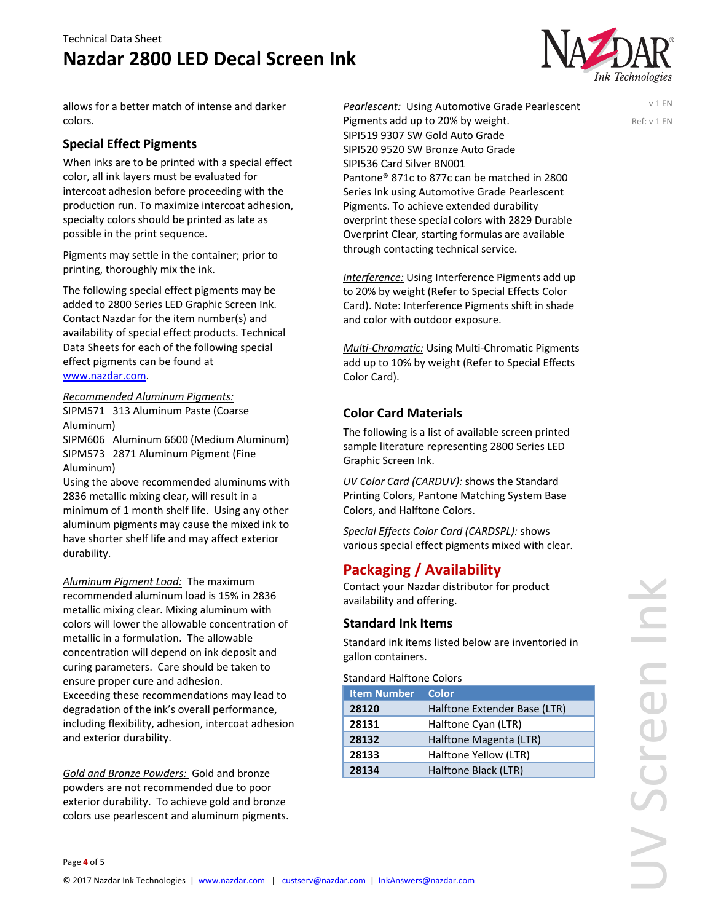# **Nazdar 2800 LED Decal Screen Ink**



v 1 EN Ref: v 1 EN

allows for a better match of intense and darker colors.

## **Special Effect Pigments**

When inks are to be printed with a special effect color, all ink layers must be evaluated for intercoat adhesion before proceeding with the production run. To maximize intercoat adhesion, specialty colors should be printed as late as possible in the print sequence.

Pigments may settle in the container; prior to printing, thoroughly mix the ink.

The following special effect pigments may be added to 2800 Series LED Graphic Screen Ink. Contact Nazdar for the item number(s) and availability of special effect products. Technical Data Sheets for each of the following special effect pigments can be found at

### www.nazdar.com.

*Recommended Aluminum Pigments:* SIPM571 313 Aluminum Paste (Coarse Aluminum)

SIPM606 Aluminum 6600 (Medium Aluminum) SIPM573 2871 Aluminum Pigment (Fine Aluminum)

Using the above recommended aluminums with 2836 metallic mixing clear, will result in a minimum of 1 month shelf life. Using any other aluminum pigments may cause the mixed ink to have shorter shelf life and may affect exterior durability.

*Aluminum Pigment Load:* The maximum recommended aluminum load is 15% in 2836 metallic mixing clear. Mixing aluminum with colors will lower the allowable concentration of metallic in a formulation. The allowable concentration will depend on ink deposit and curing parameters. Care should be taken to ensure proper cure and adhesion.

Exceeding these recommendations may lead to degradation of the ink's overall performance, including flexibility, adhesion, intercoat adhesion and exterior durability.

*Gold and Bronze Powders:* Gold and bronze powders are not recommended due to poor exterior durability. To achieve gold and bronze colors use pearlescent and aluminum pigments. *Pearlescent:* Using Automotive Grade Pearlescent Pigments add up to 20% by weight. SIPI519 9307 SW Gold Auto Grade SIPI520 9520 SW Bronze Auto Grade SIPI536 Card Silver BN001 Pantone® 871c to 877c can be matched in 2800 Series Ink using Automotive Grade Pearlescent Pigments. To achieve extended durability overprint these special colors with 2829 Durable Overprint Clear, starting formulas are available through contacting technical service.

*Interference:* Using Interference Pigments add up to 20% by weight (Refer to Special Effects Color Card). Note: Interference Pigments shift in shade and color with outdoor exposure.

*Multi‐Chromatic:* Using Multi‐Chromatic Pigments add up to 10% by weight (Refer to Special Effects Color Card).

## **Color Card Materials**

The following is a list of available screen printed sample literature representing 2800 Series LED Graphic Screen Ink.

*UV Color Card (CARDUV):* shows the Standard Printing Colors, Pantone Matching System Base Colors, and Halftone Colors.

*Special Effects Color Card (CARDSPL):* shows various special effect pigments mixed with clear.

## **Packaging / Availability**

Contact your Nazdar distributor for product availability and offering.

## **Standard Ink Items**

Standard ink items listed below are inventoried in gallon containers.

Standard Halftone Colors

| <b>Item Number</b> | <b>Color</b>                 |
|--------------------|------------------------------|
| 28120              | Halftone Extender Base (LTR) |
| 28131              | Halftone Cyan (LTR)          |
| 28132              | Halftone Magenta (LTR)       |
| 28133              | Halftone Yellow (LTR)        |
| 28134              | Halftone Black (LTR)         |

UV Screen Ink Ě JV Scree